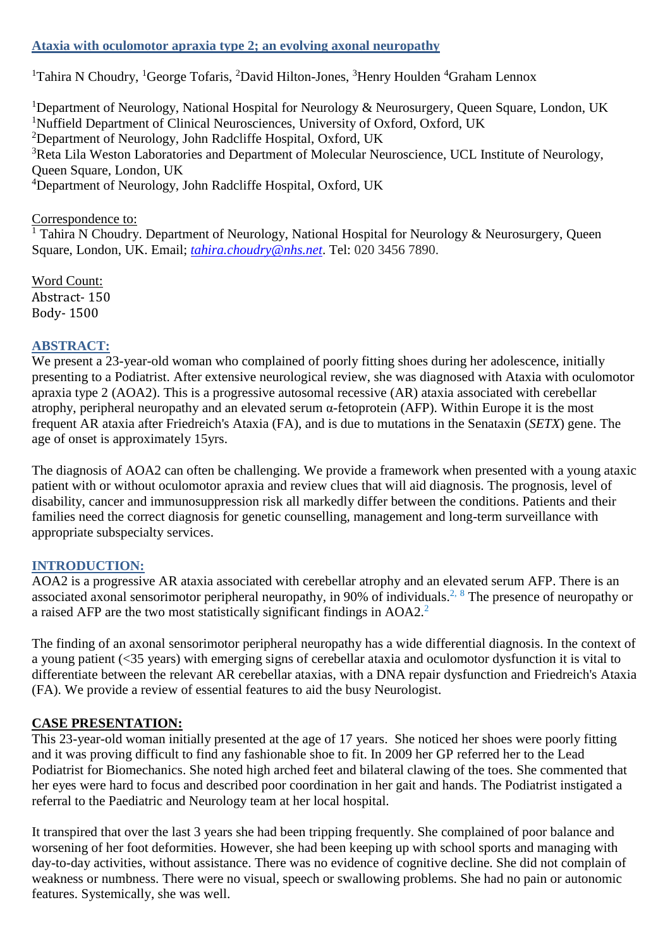### **Ataxia with oculomotor apraxia type 2; an evolving axonal neuropathy**

<sup>1</sup>Tahira N Choudry, <sup>1</sup>George Tofaris, <sup>2</sup>David Hilton-Jones, <sup>3</sup>Henry Houlden <sup>4</sup>Graham Lennox

<sup>1</sup>Department of Neurology, National Hospital for Neurology & Neurosurgery, Queen Square, London, UK <sup>1</sup>Nuffield Department of Clinical Neurosciences, University of Oxford, Oxford, UK <sup>2</sup>Department of Neurology, John Radcliffe Hospital, Oxford, UK <sup>3</sup>Reta Lila Weston Laboratories and Department of Molecular Neuroscience, UCL Institute of Neurology, Queen Square, London, UK <sup>4</sup>Department of Neurology, John Radcliffe Hospital, Oxford, UK

Correspondence to:

<sup>1</sup> Tahira N Choudry. Department of Neurology, National Hospital for Neurology & Neurosurgery, Queen Square, London, UK. Email; *[tahira.choudry@nhs.net](mailto:tahira.choudry@nhs.net)*. Tel: 020 3456 7890.

Word Count: Abstract- 150 Body- 1500

## **ABSTRACT:**

We present a 23-year-old woman who complained of poorly fitting shoes during her adolescence, initially presenting to a Podiatrist. After extensive neurological review, she was diagnosed with Ataxia with oculomotor apraxia type 2 (AOA2). This is a progressive autosomal recessive (AR) ataxia associated with cerebellar atrophy, peripheral neuropathy and an elevated serum α-fetoprotein (AFP). Within Europe it is the most frequent AR ataxia after Friedreich's Ataxia (FA), and is due to mutations in the Senataxin (*SETX*) gene. The age of onset is approximately 15yrs.

The diagnosis of AOA2 can often be challenging. We provide a framework when presented with a young ataxic patient with or without oculomotor apraxia and review clues that will aid diagnosis. The prognosis, level of disability, cancer and immunosuppression risk all markedly differ between the conditions. Patients and their families need the correct diagnosis for genetic counselling, management and long-term surveillance with appropriate subspecialty services.

### **INTRODUCTION:**

AOA2 is a progressive AR ataxia associated with cerebellar atrophy and an elevated serum AFP. There is an associated axonal sensorimotor peripheral neuropathy, in 90% of individuals.<sup>2, 8</sup> The presence of neuropathy or a raised AFP are the two most statistically significant findings in AOA2.<sup>2</sup>

The finding of an axonal sensorimotor peripheral neuropathy has a wide differential diagnosis. In the context of a young patient (<35 years) with emerging signs of cerebellar ataxia and oculomotor dysfunction it is vital to differentiate between the relevant AR cerebellar ataxias, with a DNA repair dysfunction and Friedreich's Ataxia (FA). We provide a review of essential features to aid the busy Neurologist.

# **CASE PRESENTATION:**

This 23-year-old woman initially presented at the age of 17 years. She noticed her shoes were poorly fitting and it was proving difficult to find any fashionable shoe to fit. In 2009 her GP referred her to the Lead Podiatrist for Biomechanics. She noted high arched feet and bilateral clawing of the toes. She commented that her eyes were hard to focus and described poor coordination in her gait and hands. The Podiatrist instigated a referral to the Paediatric and Neurology team at her local hospital.

It transpired that over the last 3 years she had been tripping frequently. She complained of poor balance and worsening of her foot deformities. However, she had been keeping up with school sports and managing with day-to-day activities, without assistance. There was no evidence of cognitive decline. She did not complain of weakness or numbness. There were no visual, speech or swallowing problems. She had no pain or autonomic features. Systemically, she was well.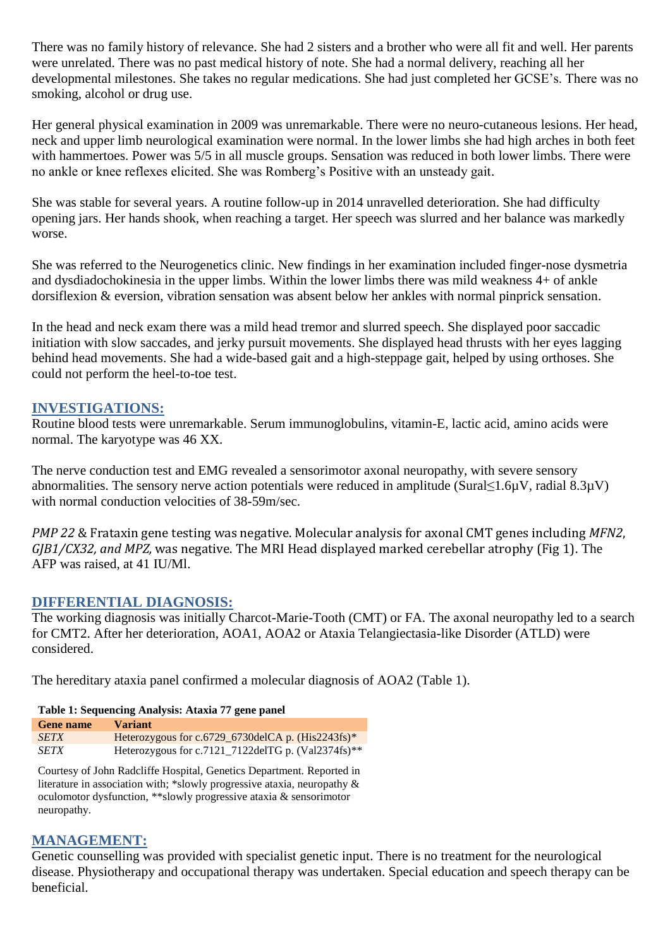There was no family history of relevance. She had 2 sisters and a brother who were all fit and well. Her parents were unrelated. There was no past medical history of note. She had a normal delivery, reaching all her developmental milestones. She takes no regular medications. She had just completed her GCSE's. There was no smoking, alcohol or drug use.

Her general physical examination in 2009 was unremarkable. There were no neuro-cutaneous lesions. Her head, neck and upper limb neurological examination were normal. In the lower limbs she had high arches in both feet with hammertoes. Power was 5/5 in all muscle groups. Sensation was reduced in both lower limbs. There were no ankle or knee reflexes elicited. She was Romberg's Positive with an unsteady gait.

She was stable for several years. A routine follow-up in 2014 unravelled deterioration. She had difficulty opening jars. Her hands shook, when reaching a target. Her speech was slurred and her balance was markedly worse.

She was referred to the Neurogenetics clinic. New findings in her examination included finger-nose dysmetria and dysdiadochokinesia in the upper limbs. Within the lower limbs there was mild weakness 4+ of ankle dorsiflexion & eversion, vibration sensation was absent below her ankles with normal pinprick sensation.

In the head and neck exam there was a mild head tremor and slurred speech. She displayed poor saccadic initiation with slow saccades, and jerky pursuit movements. She displayed head thrusts with her eyes lagging behind head movements. She had a wide-based gait and a high-steppage gait, helped by using orthoses. She could not perform the heel-to-toe test.

## **INVESTIGATIONS:**

Routine blood tests were unremarkable. Serum immunoglobulins, vitamin-E, lactic acid, amino acids were normal. The karyotype was 46 XX.

The nerve conduction test and EMG revealed a sensorimotor axonal neuropathy, with severe sensory abnormalities. The sensory nerve action potentials were reduced in amplitude (Sural≤1.6µV, radial 8.3µV) with normal conduction velocities of 38-59m/sec.

*PMP 22* & Frataxin gene testing was negative. Molecular analysis for axonal CMT genes including *MFN2*, *GJB1/CX32, and MPZ,* was negative. The MRI Head displayed marked cerebellar atrophy (Fig 1). The AFP was raised, at 41 IU/Ml.

### **DIFFERENTIAL DIAGNOSIS:**

The working diagnosis was initially Charcot-Marie-Tooth (CMT) or FA. The axonal neuropathy led to a search for CMT2. After her deterioration, AOA1, AOA2 or Ataxia Telangiectasia-like Disorder (ATLD) were considered.

The hereditary ataxia panel confirmed a molecular diagnosis of AOA2 (Table 1).

# **Table 1: Sequencing Analysis: Ataxia 77 gene panel**

| <b>Gene name</b> | <b>Variant</b>                                       |
|------------------|------------------------------------------------------|
| <b>SETX</b>      | Heterozygous for c.6729_6730delCA p. $(His2243fs)*$  |
| <b>SETX</b>      | Heterozygous for c.7121 7122delTG p. $(Val2374fs)**$ |

Courtesy of John Radcliffe Hospital, Genetics Department. Reported in literature in association with; \*slowly progressive ataxia, neuropathy & oculomotor dysfunction, \*\*slowly progressive ataxia & sensorimotor neuropathy.

# **MANAGEMENT:**

Genetic counselling was provided with specialist genetic input. There is no treatment for the neurological disease. Physiotherapy and occupational therapy was undertaken. Special education and speech therapy can be beneficial.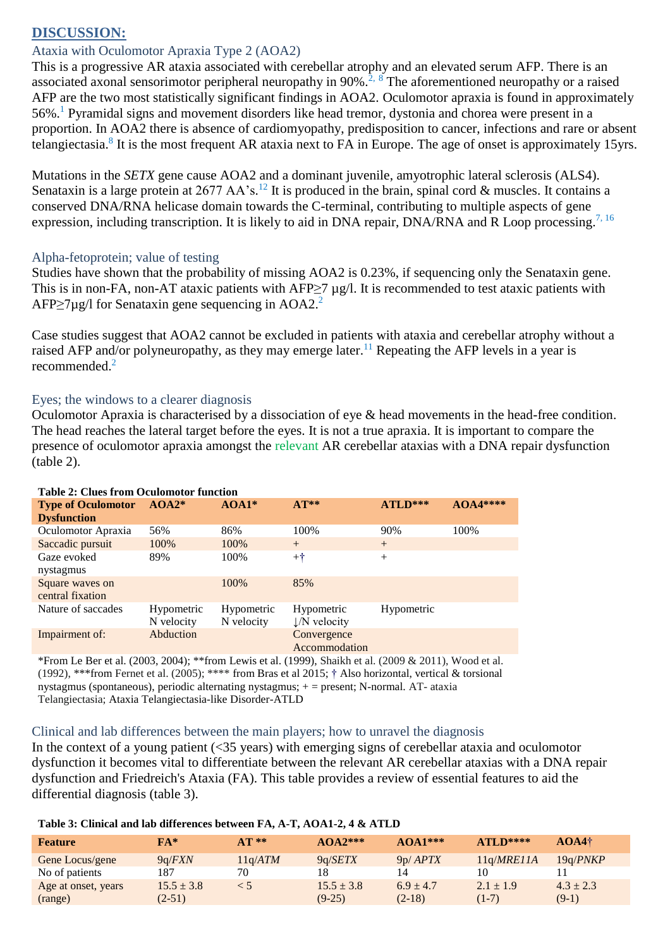# **DISCUSSION:**

### Ataxia with Oculomotor Apraxia Type 2 (AOA2)

This is a progressive AR ataxia associated with cerebellar atrophy and an elevated serum AFP. There is an associated axonal sensorimotor peripheral neuropathy in 90%.<sup>2, 8</sup> The aforementioned neuropathy or a raised AFP are the two most statistically significant findings in AOA2. Oculomotor apraxia is found in approximately 56%.<sup>1</sup> Pyramidal signs and movement disorders like head tremor, dystonia and chorea were present in a proportion. In AOA2 there is absence of cardiomyopathy, predisposition to cancer, infections and rare or absent telangiectasia.<sup>8</sup> It is the most frequent AR ataxia next to FA in Europe. The age of onset is approximately 15yrs.

Mutations in the *SETX* gene cause AOA2 and a dominant juvenile, amyotrophic lateral sclerosis (ALS4). Senataxin is a large protein at 2677 AA's.<sup>12</sup> It is produced in the brain, spinal cord & muscles. It contains a conserved DNA/RNA helicase domain towards the C-terminal, contributing to multiple aspects of gene expression, including transcription. It is likely to aid in DNA repair, DNA/RNA and R Loop processing.<sup>7, 16</sup>

### Alpha-fetoprotein; value of testing

Studies have shown that the probability of missing AOA2 is 0.23%, if sequencing only the Senataxin gene. This is in non-FA, non-AT ataxic patients with AFP $\geq$ 7 µg/l. It is recommended to test ataxic patients with  $APP > 7\mu$ g/l for Senataxin gene sequencing in AOA2.<sup>2</sup>

Case studies suggest that AOA2 cannot be excluded in patients with ataxia and cerebellar atrophy without a raised AFP and/or polyneuropathy, as they may emerge later.<sup>11</sup> Repeating the AFP levels in a year is recommended. 2

### Eyes; the windows to a clearer diagnosis

Oculomotor Apraxia is characterised by a dissociation of eye & head movements in the head-free condition. The head reaches the lateral target before the eyes. It is not a true apraxia. It is important to compare the presence of oculomotor apraxia amongst the relevant AR cerebellar ataxias with a DNA repair dysfunction (table 2).

| <b>Table 2: Clues from Oculomotor function</b> |            |            |                          |            |           |  |
|------------------------------------------------|------------|------------|--------------------------|------------|-----------|--|
| <b>Type of Oculomotor</b>                      | $AOA2*$    | $AOA1*$    | $AT**$                   | ATLD***    | $AOA4***$ |  |
| <b>Dysfunction</b>                             |            |            |                          |            |           |  |
| Oculomotor Apraxia                             | 56%        | 86%        | 100%                     | 90%        | 100%      |  |
| Saccadic pursuit                               | 100%       | 100%       | $+$                      | $^{+}$     |           |  |
| Gaze evoked                                    | 89%        | 100%       | $+^{\dagger}$            | $^{+}$     |           |  |
| nystagmus                                      |            |            |                          |            |           |  |
| Square waves on                                |            | 100%       | 85%                      |            |           |  |
| central fixation                               |            |            |                          |            |           |  |
| Nature of saccades                             | Hypometric | Hypometric | Hypometric               | Hypometric |           |  |
|                                                | N velocity | N velocity | $\downarrow$ /N velocity |            |           |  |
| Impairment of:                                 | Abduction  |            | Convergence              |            |           |  |
|                                                |            |            | Accommodation            |            |           |  |

\*From Le Ber et al. (2003, 2004); \*\*from Lewis et al. (1999), Shaikh et al. (2009 & 2011), Wood et al. (1992), \*\*\*from Fernet et al. (2005); \*\*\*\* from Bras et al 2015; † Also horizontal, vertical & torsional nystagmus (spontaneous), periodic alternating nystagmus; + = present; N-normal. AT- ataxia Telangiectasia; Ataxia Telangiectasia-like Disorder-ATLD

#### Clinical and lab differences between the main players; how to unravel the diagnosis

In the context of a young patient (<35 years) with emerging signs of cerebellar ataxia and oculomotor dysfunction it becomes vital to differentiate between the relevant AR cerebellar ataxias with a DNA repair dysfunction and Friedreich's Ataxia (FA). This table provides a review of essential features to aid the differential diagnosis (table 3).

| <b>Feature</b>      | $FA*$          | $AT**$        | $AOA2***$      | $AOA1***$     | $ATLD***$     | $AOA4\dagger$ |
|---------------------|----------------|---------------|----------------|---------------|---------------|---------------|
| Gene Locus/gene     | 9a/FXN         | $11$ q/A $TM$ | 9a/SETX        | 9p/APTX       | 11q/MRE11A    | 19a/PNKP      |
| No of patients      | 187            | 70            | 18             | 14            | 10            |               |
| Age at onset, years | $15.5 \pm 3.8$ | < 5           | $15.5 \pm 3.8$ | $6.9 \pm 4.7$ | $2.1 \pm 1.9$ | $4.3 \pm 2.3$ |
| (range)             | $(2-51)$       |               | $(9-25)$       | $(2-18)$      | $(1-7)$       | $(9-1)$       |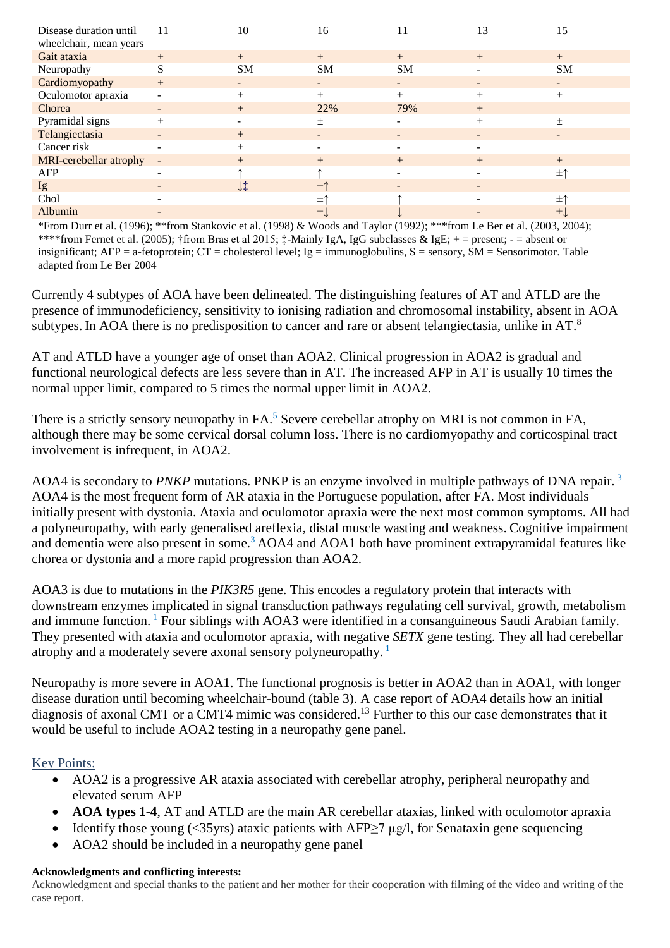| Disease duration until<br>wheelchair, mean years | 11                       | 10                    | 16                       | 11                       | 13                       | 15                       |
|--------------------------------------------------|--------------------------|-----------------------|--------------------------|--------------------------|--------------------------|--------------------------|
|                                                  |                          |                       |                          |                          |                          |                          |
| Gait ataxia                                      | $+$                      | $+$                   | $+$                      | $+$                      | $+$                      | $+$                      |
| Neuropathy                                       | S                        | <b>SM</b>             | <b>SM</b>                | <b>SM</b>                | $\overline{a}$           | <b>SM</b>                |
| Cardiomyopathy                                   | $+$                      | $\sim$                | $\sim$                   | $\overline{\phantom{a}}$ | $\overline{\phantom{0}}$ | $\sim$                   |
| Oculomotor apraxia                               | $\overline{\phantom{a}}$ | $^{+}$                | $+$                      | $^{+}$                   | $^{+}$                   | $+$                      |
| Chorea                                           | $\overline{\phantom{a}}$ | $+$                   | 22%                      | 79%                      | $+$                      |                          |
| Pyramidal signs                                  | $+$                      | -                     | $\pm$                    |                          | $^{+}$                   | $\pm$                    |
| Telangiectasia                                   | $\overline{\phantom{a}}$ | $+$                   | $\overline{\phantom{a}}$ | $\overline{\phantom{a}}$ | $\overline{\phantom{0}}$ | $\overline{\phantom{0}}$ |
| Cancer risk                                      | $\overline{\phantom{a}}$ | $+$                   |                          |                          |                          |                          |
| MRI-cerebellar atrophy                           | $\overline{\phantom{a}}$ | $+$                   | $+$                      | $+$                      | $+$                      | $+$                      |
| AFP                                              | $\overline{\phantom{a}}$ |                       |                          | -                        |                          | $\pm$ ↑                  |
| Ig                                               | $\overline{\phantom{a}}$ | $\downarrow \ddagger$ | $\pm$ 1                  | -                        | $\overline{\phantom{0}}$ |                          |
| Chol                                             |                          |                       | 士↑                       |                          |                          | $\pm$ ↑                  |
| Albumin                                          |                          |                       | ±Į                       |                          |                          | ±Ļ                       |

\*From Durr et al. (1996); \*\*from Stankovic et al. (1998) & Woods and Taylor (1992); \*\*\*from Le Ber et al. (2003, 2004); \*\*\*\*from Fernet et al. (2005); †from Bras et al 2015; ‡-Mainly IgA, IgG subclasses & IgE; + = present; - = absent or insignificant;  $AFP = a$ -fetoprotein;  $CT =$ cholesterol level;  $Ig =$ immunoglobulins,  $S =$ sensory,  $SM =$ Sensorimotor. Table adapted from Le Ber 2004

Currently 4 subtypes of AOA have been delineated. The distinguishing features of AT and ATLD are the presence of immunodeficiency, sensitivity to ionising radiation and chromosomal instability, absent in AOA subtypes. In AOA there is no predisposition to cancer and rare or absent telangiectasia, unlike in AT. ${}^{8}$ 

AT and ATLD have a younger age of onset than AOA2. Clinical progression in AOA2 is gradual and functional neurological defects are less severe than in AT. The increased AFP in AT is usually 10 times the normal upper limit, compared to 5 times the normal upper limit in AOA2.

There is a strictly sensory neuropathy in FA.<sup>5</sup> Severe cerebellar atrophy on MRI is not common in FA, although there may be some cervical dorsal column loss. There is no cardiomyopathy and corticospinal tract involvement is infrequent, in AOA2.

AOA4 is secondary to *PNKP* mutations. PNKP is an enzyme involved in multiple pathways of DNA repair.<sup>3</sup> AOA4 is the most frequent form of AR ataxia in the Portuguese population, after FA. Most individuals initially present with dystonia. Ataxia and oculomotor apraxia were the next most common symptoms. All had a polyneuropathy, with early generalised areflexia, distal muscle wasting and weakness. Cognitive impairment and dementia were also present in some.<sup>3</sup> AOA4 and AOA1 both have prominent extrapyramidal features like chorea or dystonia and a more rapid progression than AOA2.

AOA3 is due to mutations in the *PIK3R5* gene. This encodes a regulatory protein that interacts with downstream enzymes implicated in signal transduction pathways regulating cell survival, growth, metabolism and immune function. <sup>1</sup> Four siblings with AOA3 were identified in a consanguineous Saudi Arabian family. They presented with ataxia and oculomotor apraxia, with negative *SETX* gene testing. They all had cerebellar atrophy and a moderately severe axonal sensory polyneuropathy.<sup>1</sup>

Neuropathy is more severe in AOA1. The functional prognosis is better in AOA2 than in AOA1, with longer disease duration until becoming wheelchair-bound (table 3). A case report of AOA4 details how an initial diagnosis of axonal CMT or a CMT4 mimic was considered.<sup>13</sup> Further to this our case demonstrates that it would be useful to include AOA2 testing in a neuropathy gene panel.

### Key Points:

- AOA2 is a progressive AR ataxia associated with cerebellar atrophy, peripheral neuropathy and elevated serum AFP
- **AOA types 1-4**, AT and ATLD are the main AR cerebellar ataxias, linked with oculomotor apraxia
- Identify those young (<35yrs) ataxic patients with AFP $\geq$ 7 µg/l, for Senataxin gene sequencing
- AOA2 should be included in a neuropathy gene panel

#### **Acknowledgments and conflicting interests:**

Acknowledgment and special thanks to the patient and her mother for their cooperation with filming of the video and writing of the case report.